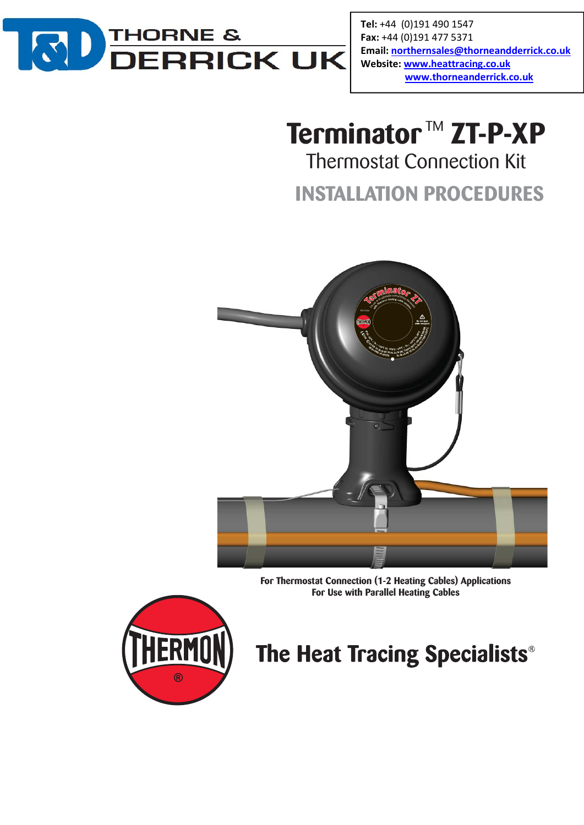

Tel: +44 (0)191 490 1547 Fax: +44 (0)191 477 5371 Email: northernsales@thorneandderrick.co.uk Website: www.heattracing.co.uk www.thorneanderrick.co.uk

# **Terminator** ™ **ZT-P-XP**

Thermostat Connection Kit

**INSTALLATION PROCEDURES**



**For Thermostat Connection (1-2 Heating Cables) Applications For Use with Parallel Heating Cables**



## The Heat Tracing Specialists®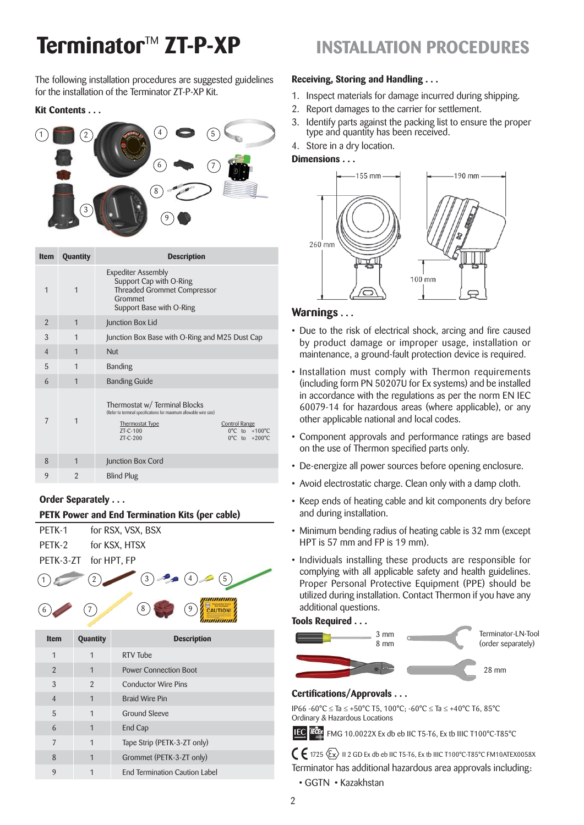## **Terminator**TM **ZT-P-XP INSTALLATION PROCEDURES**

The following installation procedures are suggested guidelines for the installation of the Terminator ZT-P-XP Kit.

## **Kit Contents . . .**



| <b>Item</b>    | Quantity       | <b>Description</b>                                                                                                                                      |                                                                                                |
|----------------|----------------|---------------------------------------------------------------------------------------------------------------------------------------------------------|------------------------------------------------------------------------------------------------|
| 1              | $\mathbf{1}$   | <b>Expediter Assembly</b><br>Support Cap with O-Ring<br><b>Threaded Grommet Compressor</b><br>Grommet<br>Support Base with O-Ring                       |                                                                                                |
| $\overline{2}$ | $\mathbf 1$    | Junction Box Lid                                                                                                                                        |                                                                                                |
| 3              | $\mathbf 1$    | Junction Box Base with O-Ring and M25 Dust Cap                                                                                                          |                                                                                                |
| $\overline{4}$ | $\mathbf 1$    | Nut                                                                                                                                                     |                                                                                                |
| 5              | $\mathbf{1}$   | <b>Banding</b>                                                                                                                                          |                                                                                                |
| 6              | $\mathbf{1}$   | <b>Banding Guide</b>                                                                                                                                    |                                                                                                |
| 7              | $\mathbf 1$    | Thermostat w/ Terminal Blocks<br>(Refer to terminal specifications for maximum allowable wire size)<br><b>Thermostat Type</b><br>$7T-C-100$<br>ZT-C-200 | <b>Control Range</b><br>$0^{\circ}$ C to $+100^{\circ}$ C<br>$0^{\circ}$ C to $+200^{\circ}$ C |
| 8              | $\mathbf 1$    | Junction Box Cord                                                                                                                                       |                                                                                                |
| 9              | $\mathfrak{D}$ | <b>Blind Plug</b>                                                                                                                                       |                                                                                                |
|                |                |                                                                                                                                                         |                                                                                                |

## **Order Separately . . .**

6

## **PETK Power and End Termination Kits (per cable)**

| PFTK-1 | for RSX, VSX, BSX     |
|--------|-----------------------|
| PETK-2 | for KSX, HTSX         |
|        | PETK-3-ZT for HPT, FP |
|        |                       |



| Item           | <b>Quantity</b> | <b>Description</b>                   |
|----------------|-----------------|--------------------------------------|
| $\mathbf{1}$   | 1               | RTV Tube                             |
| 2              | 1               | <b>Power Connection Boot</b>         |
| 3              | $\mathfrak{p}$  | <b>Conductor Wire Pins</b>           |
| $\overline{4}$ | 1               | <b>Braid Wire Pin</b>                |
| 5              | 1               | <b>Ground Sleeve</b>                 |
| 6              | 1               | End Cap                              |
| 7              | $\mathbf 1$     | Tape Strip (PETK-3-ZT only)          |
| 8              | 1               | Grommet (PETK-3-ZT only)             |
| 9              |                 | <b>End Termination Caution Label</b> |

## **Receiving, Storing and Handling . . .**

- 1. Inspect materials for damage incurred during shipping.
- 2. Report damages to the carrier for settlement.
- 3. Identify parts against the packing list to ensure the proper type and quantity has been received.
- 4. Store in a dry location.

## **Dimensions . . .**



## **Warnings . . .**

- Due to the risk of electrical shock, arcing and fire caused by product damage or improper usage, installation or maintenance, a ground-fault protection device is required.
- Installation must comply with Thermon requirements (including form PN 50207U for Ex systems) and be installed in accordance with the regulations as per the norm EN IEC 60079-14 for hazardous areas (where applicable), or any other applicable national and local codes.
- Component approvals and performance ratings are based on the use of Thermon specified parts only.
- De-energize all power sources before opening enclosure.
- Avoid electrostatic charge. Clean only with a damp cloth.
- Keep ends of heating cable and kit components dry before and during installation.
- Minimum bending radius of heating cable is 32 mm (except HPT is 57 mm and FP is 19 mm).
- Individuals installing these products are responsible for complying with all applicable safety and health guidelines. Proper Personal Protective Equipment (PPE) should be utilized during installation. Contact Thermon if you have any additional questions.

### **Tools Required . . .**



## **Certifications/Approvals . . .**

IP66 -60°C ≤ Ta ≤ +50°C T5, 100°C; -60°C ≤ Ta ≤ +40°C T6, 85°C Ordinary & Hazardous Locations

IEC FOR FMG 10.0022X Ex db eb IIC T5-T6, Ex tb IIIC T100°C-T85°C

 $\bigcap$   $\bigcap$  1725  $\langle \overline{\xi_x} \rangle$  II 2 GD Ex db eb IIC T5-T6, Ex tb IIIC T100°C-T85°C FM10ATEX0058X Terminator has additional hazardous area approvals including:

• GGTN • Kazakhstan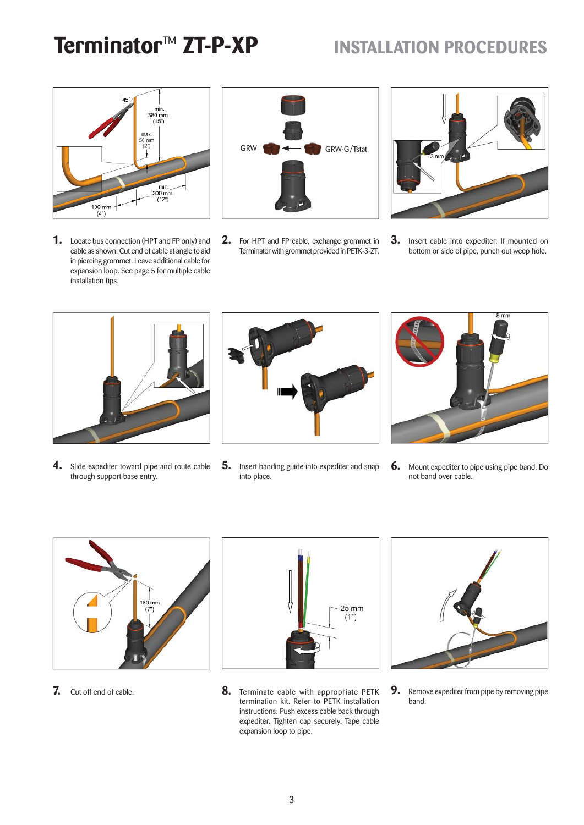## **Terminator<sup>™</sup> ZT-P-XP INSTALLATION PROCEDURES**



**1.** Locate bus connection (HPT and FP only) and cable as shown. Cut end of cable at angle to aid in piercing grommet. Leave additional cable for expansion loop. See page 5 for multiple cable installation tips.



**2.** For HPT and FP cable, exchange grommet in Terminator with grommet provided in PETK-3-ZT.



**3.** Insert cable into expediter. If mounted on bottom or side of pipe, punch out weep hole.



**4.** Slide expediter toward pipe and route cable through support base entry.



**5.** Insert banding guide into expediter and snap into place.



**6.** Mount expediter to pipe using pipe band. Do not band over cable.



**7.** Cut off end of cable.



**8.** Terminate cable with appropriate PETK termination kit. Refer to PETK installation instructions. Push excess cable back through expediter. Tighten cap securely. Tape cable expansion loop to pipe.



**9.** Remove expediter from pipe by removing pipe band.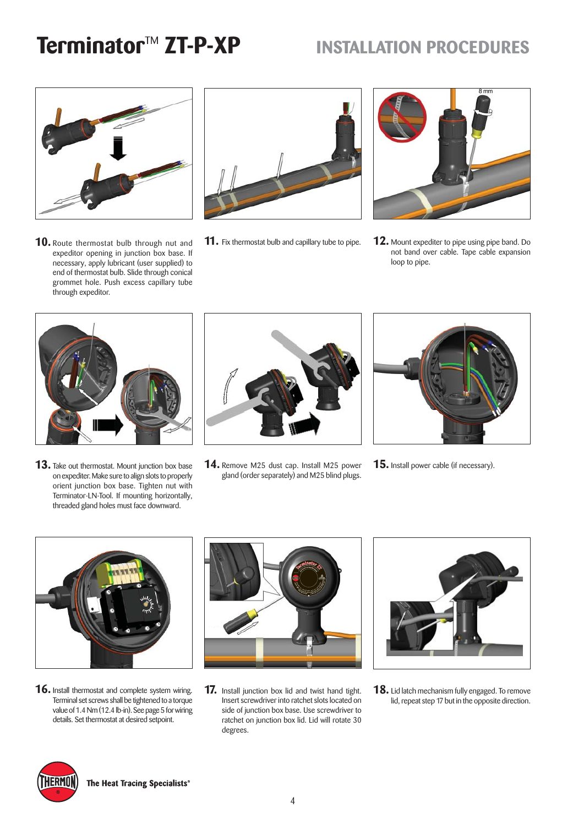## **Terminator<sup>™</sup> ZT-P-XP INSTALLATION PROCEDURES**



**10.** Route thermostat bulb through nut and **11.** Fix thermostat bulb and capillary tube to pipe. expeditor opening in junction box base. If necessary, apply lubricant (user supplied) to end of thermostat bulb. Slide through conical grommet hole. Push excess capillary tube through expeditor.





**12.** Mount expediter to pipe using pipe band. Do not band over cable. Tape cable expansion loop to pipe.



**13.** Take out thermostat. Mount junction box base on expediter. Make sure to align slots to properly orient junction box base. Tighten nut with Terminator-LN-Tool. If mounting horizontally, threaded gland holes must face downward.



**14.** Remove M25 dust cap. Install M25 power gland (order separately) and M25 blind plugs.



**15.** Install power cable (if necessary).



**16.** Install thermostat and complete system wiring. Terminal set screws shall be tightened to a torque value of 1.4 Nm (12.4 lb-in). See page 5 for wiring details. Set thermostat at desired setpoint.



**17.** Install junction box lid and twist hand tight. Insert screwdriver into ratchet slots located on side of junction box base. Use screwdriver to ratchet on junction box lid. Lid will rotate 30 degrees.



**18.** Lid latch mechanism fully engaged. To remove lid, repeat step 17 but in the opposite direction.

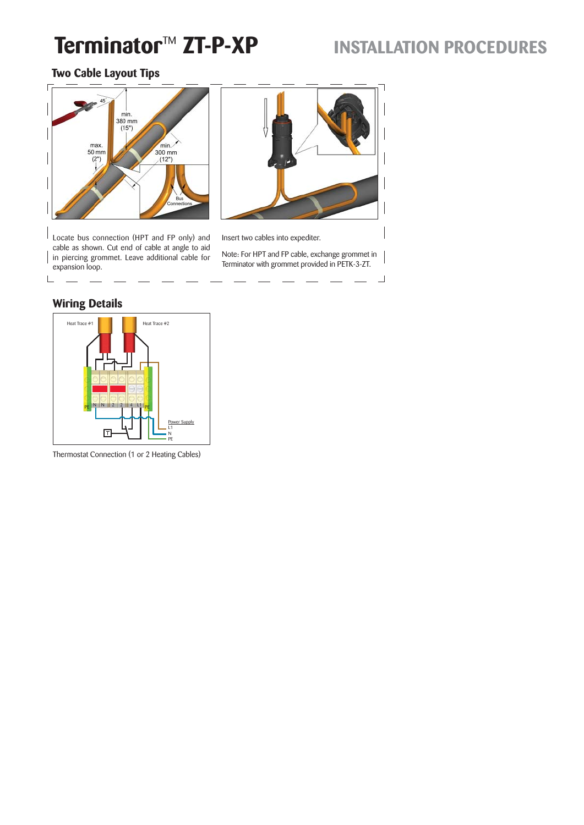## **Terminator<sup>™</sup> ZT-P-XP INSTALLATION PROCEDURES**

## **Two Cable Layout Tips**



Locate bus connection (HPT and FP only) and cable as shown. Cut end of cable at angle to aid in piercing grommet. Leave additional cable for expansion loop.



Insert two cables into expediter.

Note: For HPT and FP cable, exchange grommet in Terminator with grommet provided in PETK-3-ZT.

 $\sqcup$ 

## **Wiring Details**

I

 $\mathsf{L}$ 



Thermostat Connection (1 or 2 Heating Cables)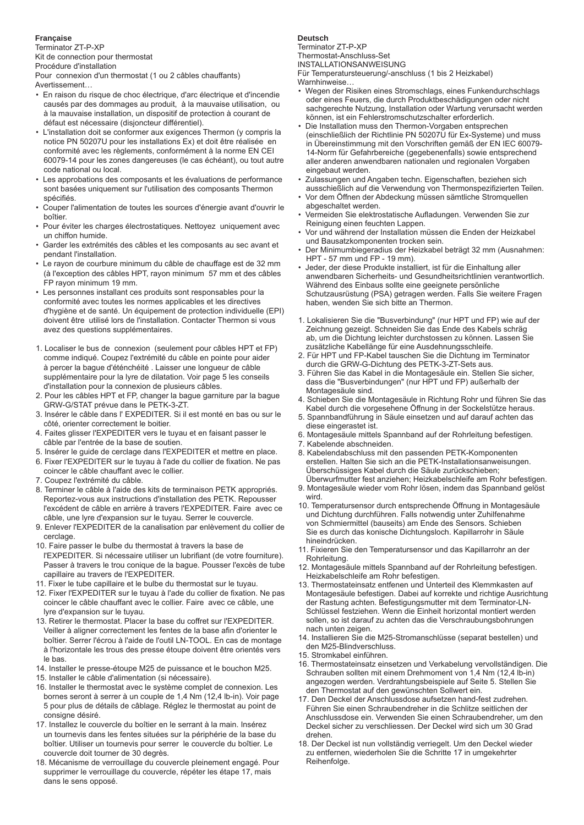## **Française**

Terminator ZT-P-XP Kit de connection pour thermostat Procédure d'installation

Pour connexion d'un thermostat (1 ou 2 câbles chauffants)

- Avertissement…
- En raison du risque de choc électrique, d'arc électrique et d'incendie causés par des dommages au produit, à la mauvaise utilisation, ou à la mauvaise installation, un dispositif de protection à courant de défaut est nécessaire (disjoncteur différentiel).
- L'installation doit se conformer aux exigences Thermon (y compris la notice PN 50207U pour les installations Ex) et doit être réalisée en conformité avec les règlements, conformément à la norme EN CEI 60079-14 pour les zones dangereuses (le cas échéant), ou tout autre code national ou local.
- Les approbations des composants et les évaluations de performance sont basées uniquement sur l'utilisation des composants Thermon spécifiés
- Couper l'alimentation de toutes les sources d'énergie avant d'ouvrir le boîtier.
- Pour éviter les charges électrostatiques. Nettoyez uniquement avec un chiffon humide.
- Garder les extrémités des câbles et les composants au sec avant et pendant l'installation.
- Le rayon de courbure minimum du câble de chauffage est de 32 mm (à l'exception des câbles HPT, rayon minimum 57 mm et des câbles FP rayon minimum 19 mm.
- Les personnes installant ces produits sont responsables pour la conformité avec toutes les normes applicables et les directives d'hygiène et de santé. Un équipement de protection individuelle (EPI) doivent être utilisé lors de l'installation. Contacter Thermon si vous avez des questions supplémentaires.
- 1. Localiser le bus de connexion (seulement pour câbles HPT et FP) comme indiqué. Coupez l'extrémité du câble en pointe pour aider à percer la bague d'éténchéité . Laisser une longueur de câble supplémentaire pour la lyre de dilatation. Voir page 5 les conseils d'installation pour la connexion de plusieurs câbles.
- 2. Pour les câbles HPT et FP, changer la bague garniture par la bague GRW-G/STAT prévue dans le PETK-3-ZT.
- 3. Insérer le câble dans l' EXPEDITER. Si il est monté en bas ou sur le côté, orienter correctement le boitier.
- 4. Faites glisser l'EXPEDITER vers le tuyau et en faisant passer le câble par l'entrée de la base de soutien.
- 5. Insérer le guide de cerclage dans l'EXPEDITER et mettre en place.
- 6. Fixer l'EXPEDITER sur le tuyau à l'ade du collier de fixation. Ne pas coincer le câble chauffant avec le collier.
- 7. Coupez l'extrémité du câble.
- 8. Terminer le câble à l'aide des kits de terminaison PETK appropriés. Reportez-vous aux instructions d'installation des PETK. Repousser l'excédent de câble en arrière à travers l'EXPEDITER. Faire avec ce câble, une lyre d'expansion sur le tuyau. Serrer le couvercle.
- 9. Enlever l'EXPEDITER de la canalisation par enlèvement du collier de cerclage.
- 10. Faire passer le bulbe du thermostat à travers la base de l'EXPEDITER. Si nécessaire utiliser un lubrifiant (de votre fourniture). Passer à travers le trou conique de la bague. Pousser l'excès de tube capillaire au travers de l'EXPEDITER.
- 11. Fixer le tube capillaire et le bulbe du thermostat sur le tuyau.
- 12. Fixer l'EXPEDITER sur le tuyau à l'ade du collier de fixation. Ne pas coincer le câble chauffant avec le collier. Faire avec ce câble, une lyre d'expansion sur le tuyau.
- 13. Retirer le thermostat. Placer la base du coffret sur l'EXPEDITER. Veiller à aligner correctement les fentes de la base afin d'orienter le boîtier. Serrer l'écrou à l'aide de l'outil LN-TOOL. En cas de montage à l'horizontale les trous des presse étoupe doivent être orientés vers le bas.
- 14. Installer le presse-étoupe M25 de puissance et le bouchon M25.
- 15. Installer le câble d'alimentation (si nécessaire).
- 16. Installer le thermostat avec le système complet de connexion. Les bornes seront à serrer à un couple de 1,4 Nm (12,4 lb-in). Voir page 5 pour plus de détails de câblage. Réglez le thermostat au point de consigne désiré.
- 17. Installez le couvercle du boîtier en le serrant à la main. Insérez un tournevis dans les fentes situées sur la périphérie de la base du boîtier. Utiliser un tournevis pour serrer le couvercle du boîtier. Le couvercle doit tourner de 30 degrès.
- 18. Mécanisme de verrouillage du couvercle pleinement engagé. Pour supprimer le verrouillage du couvercle, répéter les étape 17, mais dans le sens opposé.

### **Deutsch**

Terminator ZT-P-XP Thermostat-Anschluss-Set INSTALLATIONSANWEISUNG Für Temperatursteuerung/-anschluss (1 bis 2 Heizkabel)

- Warnhinweise…
- Wegen der Risiken eines Stromschlags, eines Funkendurchschlags oder eines Feuers, die durch Produktbeschädigungen oder nicht sachgerechte Nutzung, Installation oder Wartung verursacht werden können, ist ein Fehlerstromschutzschalter erforderlich.
- Die Installation muss den Thermon-Vorgaben entsprechen (einschließlich der Richtlinie PN 50207U für Ex-Systeme) und muss in Übereinstimmung mit den Vorschriften gemäß der EN IEC 60079- 14-Norm für Gefahrbereiche (gegebenenfalls) sowie entsprechend aller anderen anwendbaren nationalen und regionalen Vorgaben eingebaut werden.
- Zulassungen und Angaben techn. Eigenschaften, beziehen sich ausschießlich auf die Verwendung von Thermonspezifizierten Teilen.
- Vor dem Öffnen der Abdeckung müssen sämtliche Stromquellen abgeschaltet werden.
- Vermeiden Sie elektrostatische Aufladungen. Verwenden Sie zur Reinigung einen feuchten Lappen.
- Vor und während der Installation müssen die Enden der Heizkabel und Bausatzkomponenten trocken sein.
- Der Minimumbiegeradius der Heizkabel beträgt 32 mm (Ausnahmen: HPT - 57 mm und FP - 19 mm).
- Jeder, der diese Produkte installiert, ist für die Einhaltung aller anwendbaren Sicherheits- und Gesundheitsrichtlinien verantwortlich. Während des Einbaus sollte eine geeignete persönliche Schutzausrüstung (PSA) getragen werden. Falls Sie weitere Fragen haben, wenden Sie sich bitte an Thermon.
- 1. Lokalisieren Sie die "Busverbindung" (nur HPT und FP) wie auf der Zeichnung gezeigt. Schneiden Sie das Ende des Kabels schräg ab, um die Dichtung leichter durchstossen zu können. Lassen Sie zusätzliche Kabellänge für eine Ausdehnungsschleife.
- 2. Für HPT und FP-Kabel tauschen Sie die Dichtung im Terminator durch die GRW-G-Dichtung des PETK-3-ZT-Sets aus.
- 3. Führen Sie das Kabel in die Montagesäule ein. Stellen Sie sicher, dass die "Busverbindungen" (nur HPT und FP) außerhalb der Montagesäule sind.
- 4. Schieben Sie die Montagesäule in Richtung Rohr und führen Sie das Kabel durch die vorgesehene Öffnung in der Sockelstütze heraus.
- 5. Spannbandführung in Säule einsetzen und auf darauf achten das diese eingerastet ist.
- 6. Montagesäule mittels Spannband auf der Rohrleitung befestigen.
- 7. Kabelende abschneiden.
- 8. Kabelendabschluss mit den passenden PETK-Komponenten erstellen. Halten Sie sich an die PETK-Installationsanweisungen. Überschüssiges Kabel durch die Säule zurückschieben; Überwurfmutter fest anziehen; Heizkabelschleife am Rohr befestigen.
- 9. Montagesäule wieder vom Rohr lösen, indem das Spannband gelöst wird.
- 10. Temperatursensor durch entsprechende Öffnung in Montagesäule und Dichtung durchführen. Falls notwendig unter Zuhilfenahme von Schmiermittel (bauseits) am Ende des Sensors. Schieben Sie es durch das konische Dichtungsloch. Kapillarrohr in Säule hineindrücken.
- 11. Fixieren Sie den Temperatursensor und das Kapillarrohr an der Rohrleitung.
- 12. Montagesäule mittels Spannband auf der Rohrleitung befestigen. Heizkabelschleife am Rohr befestigen.
- 13. Thermostateinsatz entfenen und Unterteil des Klemmkasten auf Montagesäule befestigen. Dabei auf korrekte und richtige Ausrichtung der Rastung achten. Befestigungsmutter mit dem Terminator-LN-Schlüssel festziehen. Wenn die Einheit horizontal montiert werden sollen, so ist darauf zu achten das die Verschraubungsbohrungen nach unten zeigen.
- 14. Installieren Sie die M25-Stromanschlüsse (separat bestellen) und den M25-Blindverschluss.
- 15. Stromkabel einführen.
- 16. Thermostateinsatz einsetzen und Verkabelung vervollständigen. Die Schrauben sollten mit einem Drehmoment von 1,4 Nm (12,4 lb-in) angezogen werden. Verdrahtungsbeispiele auf Seite 5. Stellen Sie den Thermostat auf den gewünschten Sollwert ein.
- 17. Den Deckel der Anschlussdose aufsetzen hand-fest zudrehen. Führen Sie einen Schraubendreher in die Schlitze seitlichen der Anschlussdose ein. Verwenden Sie einen Schraubendreher, um den Deckel sicher zu verschliessen. Der Deckel wird sich um 30 Grad drehen.
- 18. Der Deckel ist nun vollständig verriegelt. Um den Deckel wieder zu entfernen, wiederholen Sie die Schritte 17 in umgekehrter Reihenfolge.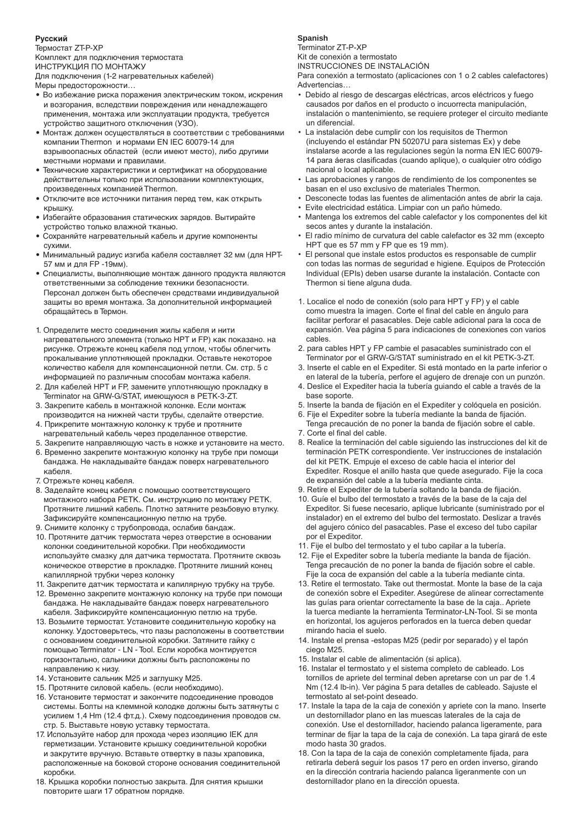### **Русский**

Термостат ZT-P-XP Комплект для подключения термостата ИНСТРУКЦИЯ ПО МОНТАЖУ

Для подключения (1-2 нагревательных кабелей) Меры предосторожности…

- Во избежание риска поражения электрическим током, искрения и возгорания, вследствии повреждения или ненадлежащего применения, монтажа или эксплуатации продукта, требуется устройство защитного отключения (УЗО).
- Монтаж должен осуществляться в соответствии с требованиями компании Thermon и нормами EN IEC 60079-14 для взрывоопасных областей (если имеют место), либо другими местными нормами и правилами.
- Технические характеристики и сертификат на оборудование действительны только при использовании комплектующих, произведенных компанией Thermon.
- Отключите все источники питания перед тем, как открыть крышку.
- Избегайте образования статических зарядов. Вытирайте устройство только влажной тканью.
- Сохраняйте нагревательный кабель и другие компоненты сухими.
- Минимальный радиус изгиба кабеля составляет 32 мм (для HPT-57 мм и для FP -19мм).
- Специалисты, выполняющие монтаж данного продукта являются ответственными за соблюдение техники безопасности. Персонал должен быть обеспечен средствами индивидуальной защиты во время монтажа. За дополнительной информацией обращайтесь в Термон.
- 1. Определите место соединения жилы кабеля и нити нагревательного элемента (только HPT и FP) как показано. на рисунке. Отрежьте конец кабеля под углом, чтобы облегчить прокалывание уплотняющей прокладки. Оставьте некоторое количество кабеля для компенсационной петли. См. стр. 5 с информацией по различным способам монтажа кабеля.
- 2. Для кабелей HPT и FP, замените уплотняющую прокладку в Terminator на GRW-G/STAT, имеющуюся в PETK-3-ZT.
- 3. Закрепите кабель в монтажной колонке. Если монтаж производится на нижней части трубы, сделайте отверстие. 4. Прикрепите монтажную колонку к трубе и протяните
- нагревательный кабель через проделанное отверстие.
- 5. Закрепите направляющую часть в ножке и установите на место.
- 6. Временно закрепите монтажную колонку на трубе при помощи бандажа. Не накладывайте бандаж поверх нагревательного кабеля.
- 7. Отрежьте конец кабеля.
- 8. Заделайте конец кабеля с помощью соответствующего монтажного набора РЕТК. См. инструкцию по монтажу РЕТК. Протяните лишний кабель. Плотно затяните резьбовую втулку. Зафиксируйте компенсационную петлю на трубе.
- 9. Снимите колонку с трубопровода, ослабив бандаж.
- 10. Протяните датчик термостата через отверстие в основании колонки соединительной коробки. При необходимости используйте смазку для датчика термостата. Протяните сквозь коническое отверстие в прокладке. Протяните лишний конец капиллярной трубки через колонку
- 11. Закрепите датчик термостата и капилярную трубку на трубе.
- 12. Временно закрепите монтажную колонку на трубе при помощи бандажа. Не накладывайте бандаж поверх нагревательного кабеля. Зафиксируйте компенсационную петлю на трубе.
- 13. Возьмите термостат. Установите соединительную коробку на колонку. Удостоверьтесь, что пазы расположены в соответствии с основанием соединительной коробки. Затяните гайку с помощью Terminator - LN - Tool. Если коробка монтируется горизонтально, сальники должны быть расположены по направлению к низу.
- 14. Установите сальник M25 и заглушку M25.
- 15. Протяните силовой кабель. (если необходимо).
- 16. Установите термостат и закончите подсоединение проводов системы. Болты на клеммной колодке должны быть затянуты с усилием 1,4 Hm (12.4 фт.д.). Схему подсоединения проводов см. стр. 5. Выставьте новую уставку термостата.
- 17. Используйте набор для прохода через изоляцию IEK для герметизации. Установите крышку соединительной коробки и закрутите вручную. Вставьте отвертку в пазы храповика, расположенные на боковой стороне основания соединительной коробки.
- 18. Крышка коробки полностью закрыта. Для снятия крышки повторите шаги 17 обратном порядке.

## **Spanish**

Terminator ZT-P-XP

Kit de conexión a termostato

INSTRUCCIONES DE INSTALACIÓN

Para conexión a termostato (aplicaciones con 1 o 2 cables calefactores) Advertencias…

- Debido al riesgo de descargas eléctricas, arcos eléctricos y fuego causados por daños en el producto o incuorrecta manipulación, instalación o mantenimiento, se requiere proteger el circuito mediante un diferencial.
- La instalación debe cumplir con los requisitos de Thermon (incluyendo el estándar PN 50207U para sistemas Ex) y debe instalarse acorde a las regulaciones según la norma EN IEC 60079- 14 para áeras clasificadas (cuando aplique), o cualquier otro código nacional o local aplicable.
- Las aprobaciones y rangos de rendimiento de los componentes se basan en el uso exclusivo de materiales Thermon.
- Desconecte todas las fuentes de alimentación antes de abrir la caja.
- Evite electricidad estática. Limpiar con un paño húmedo.
- Mantenga los extremos del cable calefactor y los componentes del kit secos antes y durante la instalación.
- El radio mínimo de curvatura del cable calefactor es 32 mm (excepto HPT que es 57 mm y FP que es 19 mm).
- El personal que instale estos productos es responsable de cumplir con todas las normas de seguridad e higiene. Equipos de Protección Individual (EPIs) deben usarse durante la instalación. Contacte con Thermon si tiene alguna duda.
- 1. Localice el nodo de conexión (solo para HPT y FP) y el cable como muestra la imagen. Corte el final del cable en ángulo para facilitar perforar el pasacables. Deje cable adicional para la coca de expansión. Vea página 5 para indicaciones de conexiones con varios cables.
- 2. para cables HPT y FP cambie el pasacables suministrado con el Terminator por el GRW-G/STAT suministrado en el kit PETK-3-ZT.
- 3. Inserte el cable en el Expediter. Si está montado en la parte inferior o en lateral de la tubería, perfore el agujero de drenaje con un punzón.
- 4. Deslice el Expediter hacia la tubería guiando el cable a través de la base soporte.
- 5. Inserte la banda de fijación en el Expediter y colóquela en posición.
- 6. Fije el Expediter sobre la tubería mediante la banda de fijación. Tenga precaución de no poner la banda de fijación sobre el cable.
- 7. Corte el final del cable.
- 8. Realice la terminación del cable siguiendo las instrucciones del kit de terminación PETK correspondiente. Ver instrucciones de instalación del kit PETK. Empuje el exceso de cable hacia el interior del Expediter. Rosque el anillo hasta que quede asegurado. Fije la coca de expansión del cable a la tubería mediante cinta.
- 9. Retire el Expediter de la tubería soltando la banda de fijación.
- 10. Guíe el bulbo del termostato a través de la base de la caja del Expeditor. Si fuese necesario, aplique lubricante (suministrado por el instalador) en el extremo del bulbo del termostato. Deslizar a través del agujero cónico del pasacables. Pase el exceso del tubo capilar por el Expeditor.
- 11. Fije el bulbo del termostato y el tubo capilar a la tubería.
- 12. Fije el Expediter sobre la tubería mediante la banda de fijación. Tenga precaución de no poner la banda de fijación sobre el cable. Fije la coca de expansión del cable a la tubería mediante cinta.
- 13. Retire el termostato. Take out thermostat. Monte la base de la caja de conexión sobre el Expediter. Asegúrese de alinear correctamente las guías para orientar correctamente la base de la caja.. Apriete la tuerca mediante la herramienta Terminator-LN-Tool. Si se monta en horizontal, los agujeros perforados en la tuerca deben quedar mirando hacia el suelo.
- 14. Instale el prensa -estopas M25 (pedir por separado) y el tapón ciego M25.
- 15. Instalar el cable de alimentación (si aplica).
- 16. Instalar el termostato y el sistema completo de cableado. Los tornillos de apriete del terminal deben apretarse con un par de 1.4 Nm (12.4 lb-in). Ver página 5 para detalles de cableado. Sajuste el termostato al set-point deseado.
- 17. Instale la tapa de la caja de conexión y apriete con la mano. Inserte un destornillador plano en las muescas laterales de la caja de conexión. Use el destornillador, haciendo palanca ligeramente, para terminar de fijar la tapa de la caja de conexión. La tapa girará de este modo hasta 30 grados.
- 18. Con la tapa de la caja de conexión completamente fijada, para retirarla deberá seguir los pasos 17 pero en orden inverso, girando en la dirección contraria haciendo palanca ligeranmente con un destornillador plano en la dirección opuesta.